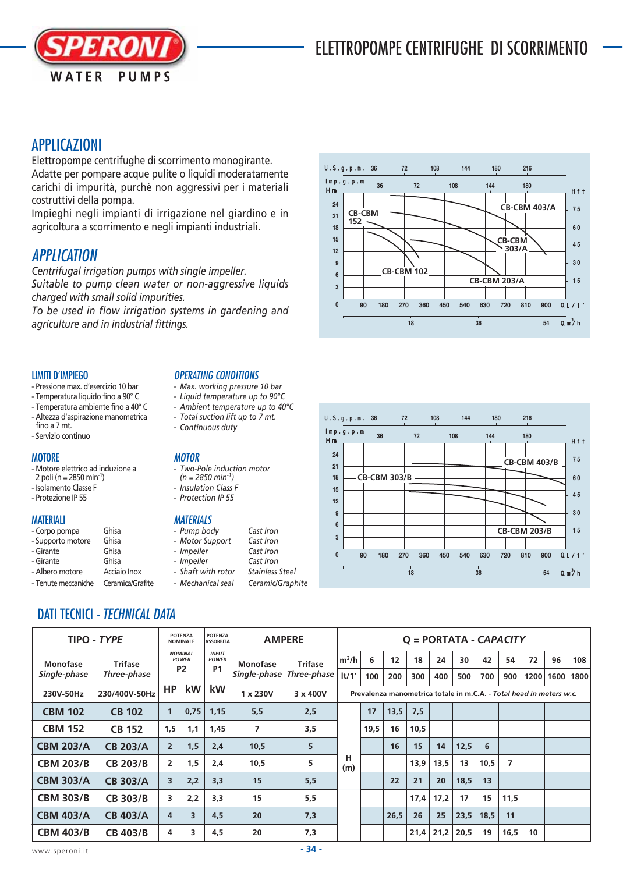

# APPLICAZIONI

Elettropompe centrifughe di scorrimento monogirante. Adatte per pompare acque pulite o liquidi moderatamente carichi di impurità, purchè non aggressivi per i materiali costruttivi della pompa.

Impieghi negli impianti di irrigazione nel giardino e in agricoltura a scorrimento e negli impianti industriali.

## APPLICATION

*Centrifugal irrigation pumps with single impeller. Suitable to pump clean water or non-aggressive liquids charged with small solid impurities.*

*To be used in flow irrigation systems in gardening and agriculture and in industrial fittings.*

#### LIMITI D'IMPIEGO

- Pressione max. d'esercizio 10 bar
- Temperatura liquido fino a 90° C
- Temperatura ambiente fino a 40° C
- Altezza d'aspirazione manometrica fino a 7 mt.
- Servizio continuo

## **MOTORE**

- Motore elettrico ad induzione a 2 poli (n = 2850 min<sup>-1</sup>)
- Isolamento Classe F
- Protezione IP 55
- 

#### **MATFRIALI**

- Corpo pompa Ghisa
- Supporto motore Ghisa<br>- Girante Ghisa - Girante
- Girante Ghisa
- Albero motore Acciaio Inox
- Tenute meccaniche Ceramica/Grafite

## OPERATING CONDITIONS

- *Max. working pressure 10 bar*
- *Liquid temperature up to 90°C*
- *Ambient temperature up to 40°C - Total suction lift up to 7 mt.*
- *Continuous duty*

## **MOTOR**

- *Two-Pole induction motor (n = 2850 min-1)*
- *Insulation Class F*
- *Protection IP 55*

#### **MATERIALS**

- *Pump body Cast Iron*
- *Motor Support Cast Iron*
- *Impeller Cast Iron*
- *Impeller Cast Iron - Shaft with rotor Stainless Steel*
- *Mechanical seal Ceramic/Graphite*





# DATI TECNICI - TECHNICAL DATA

| TIPO - TYPE      |                 |                                                  | <b>POTENZA</b><br><b>NOMINALE</b> |                                           | <b>AMPERE</b><br><b>ASSORBITA</b> | $Q = PORTATA - CAPACITY$ |                                                                     |      |      |      |      |      |      |                |      |      |      |
|------------------|-----------------|--------------------------------------------------|-----------------------------------|-------------------------------------------|-----------------------------------|--------------------------|---------------------------------------------------------------------|------|------|------|------|------|------|----------------|------|------|------|
| <b>Monofase</b>  | <b>Trifase</b>  | <b>NOMINAL</b><br><b>POWER</b><br>P <sub>2</sub> |                                   | <b>INPUT</b><br><b>POWER</b><br><b>P1</b> | <b>Monofase</b>                   | <b>Trifase</b>           | $m^3/h$                                                             | 6    | 12   | 18   | 24   | 30   | 42   | 54             | 72   | 96   | 108  |
| Single-phase     | Three-phase     |                                                  |                                   |                                           | Single-phase                      | Three-phase              | t/1'                                                                | 100  | 200  | 300  | 400  | 500  | 700  | 900            | 1200 | 1600 | 1800 |
| 230V-50Hz        | 230/400V-50Hz   | <b>HP</b>                                        | kW                                | kW                                        | $1 \times 230V$                   | 3 x 400V                 | Prevalenza manometrica totale in m.C.A. - Total head in meters w.c. |      |      |      |      |      |      |                |      |      |      |
| <b>CBM 102</b>   | <b>CB 102</b>   | $\mathbf{1}$                                     | 0,75                              | 1,15                                      | 5,5                               | 2,5                      |                                                                     | 17   | 13,5 | 7,5  |      |      |      |                |      |      |      |
| <b>CBM 152</b>   | <b>CB 152</b>   | 1,5                                              | 1,1                               | 1,45                                      | 7                                 | 3,5                      | н<br>(m)                                                            | 19,5 | 16   | 10,5 |      |      |      |                |      |      |      |
| <b>CBM 203/A</b> | <b>CB 203/A</b> | $\overline{2}$                                   | 1,5                               | 2,4                                       | 10,5                              | 5                        |                                                                     |      | 16   | 15   | 14   | 12,5 | 6    |                |      |      |      |
| <b>CBM 203/B</b> | <b>CB 203/B</b> | $\overline{2}$                                   | 1,5                               | 2,4                                       | 10,5                              | 5                        |                                                                     |      |      | 13,9 | 13,5 | 13   | 10,5 | $\overline{7}$ |      |      |      |
| <b>CBM 303/A</b> | <b>CB 303/A</b> | 3                                                | 2,2                               | 3,3                                       | 15                                | 5,5                      |                                                                     |      | 22   | 21   | 20   | 18,5 | 13   |                |      |      |      |
| <b>CBM 303/B</b> | <b>CB 303/B</b> | 3                                                | 2,2                               | 3,3                                       | 15                                | 5,5                      |                                                                     |      |      | 17,4 | 17,2 | 17   | 15   | 11,5           |      |      |      |
| <b>CBM 403/A</b> | <b>CB 403/A</b> | 4                                                | 3                                 | 4.5                                       | 20                                | 7,3                      |                                                                     |      | 26.5 | 26   | 25   | 23,5 | 18,5 | 11             |      |      |      |
| <b>CBM 403/B</b> | <b>CB 403/B</b> | 4                                                | 3                                 | 4,5                                       | 20                                | 7,3                      |                                                                     |      |      | 21,4 | 21,2 | 20,5 | 19   | 16,5           | 10   |      |      |